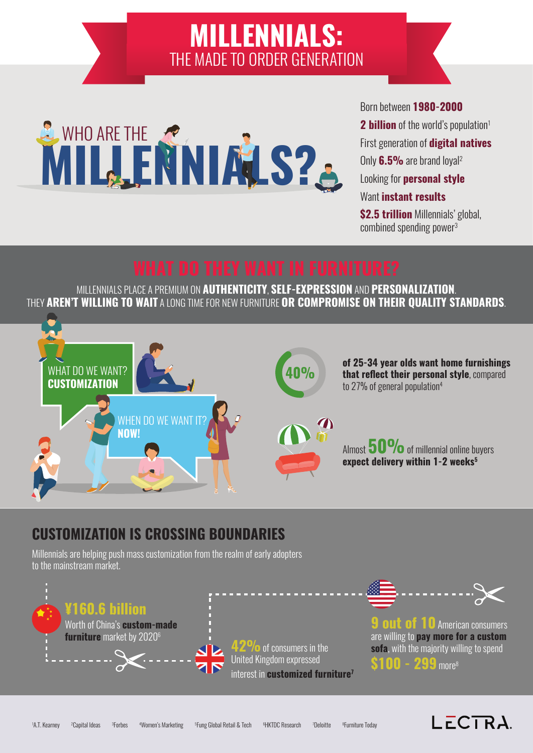# **MILLENNIALS:** THE MADE TO ORDER GENERATION



## Born between **1980-2000**

**2 billion** of the world's population<sup>1</sup> First generation of **digital natives**  Only **6.5%** are brand [loyal2](https://www.thecapitalideas.com/articles/world-shops-means-investors/) 

Looking for **personal style**

Want **instant results** 

**\$2.5 trillion** Millennials' global. combined spending [power3](https://www.forbes.com/forbes/welcome/?toURL=https://www.forbes.com/sites/deborahweinswig/2016/02/15/seismic-shift-to-millennials-driving-dramatic-changes-in-us-furniture-market/%237937d87c1cab&refURL=&referrer=)

LECTRA.

MILLENNIALS PLACE A PREMIUM ON **AUTHENTICITY**, **SELF-EXPRESSION** AND **PERSONALIZATION**. THEY **AREN'T WILLING TO WAIT** A LONG TIME FOR NEW FURNITURE **OR COMPROMISE ON THEIR QUALITY STANDARDS**.



## **CUSTOMIZATION IS CROSSING BOUNDARIES**

Millennials are helping push mass customization from the realm of early adopters to the mainstream market.